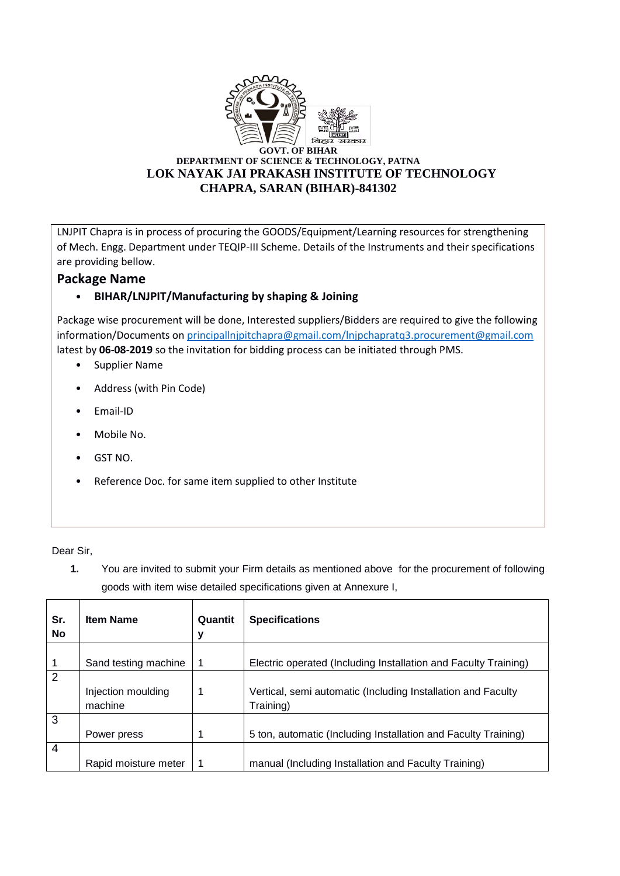

LNJPIT Chapra is in process of procuring the GOODS/Equipment/Learning resources for strengthening of Mech. Engg. Department under TEQIP-III Scheme. Details of the Instruments and their specifications are providing bellow.

## **Package Name**

## • **BIHAR/LNJPIT/Manufacturing by shaping & Joining**

Package wise procurement will be done, Interested suppliers/Bidders are required to give the following information/Documents o[n principallnjpitchapra@gmail.com/lnjpchapratq3.procurement@gmail.com](mailto:principallnjpitchapra@gmail.com/lnjpchapratq3.procurement@gmail.com) latest by **06-08-2019** so the invitation for bidding process can be initiated through PMS.

- Supplier Name
- Address (with Pin Code)
- Email-ID
- Mobile No.
- GST NO.
- Reference Doc. for same item supplied to other Institute

Dear Sir,

**1.** You are invited to submit your Firm details as mentioned above for the procurement of following goods with item wise detailed specifications given at Annexure I,

| Sr.<br>No      | <b>Item Name</b>     | Quantit<br>y | <b>Specifications</b>                                           |
|----------------|----------------------|--------------|-----------------------------------------------------------------|
|                |                      |              |                                                                 |
|                | Sand testing machine |              | Electric operated (Including Installation and Faculty Training) |
| $\overline{2}$ |                      |              |                                                                 |
|                | Injection moulding   |              | Vertical, semi automatic (Including Installation and Faculty    |
|                | machine              |              | Training)                                                       |
| 3              |                      |              |                                                                 |
|                | Power press          | 1            | 5 ton, automatic (Including Installation and Faculty Training)  |
| $\overline{4}$ |                      |              |                                                                 |
|                | Rapid moisture meter |              | manual (Including Installation and Faculty Training)            |